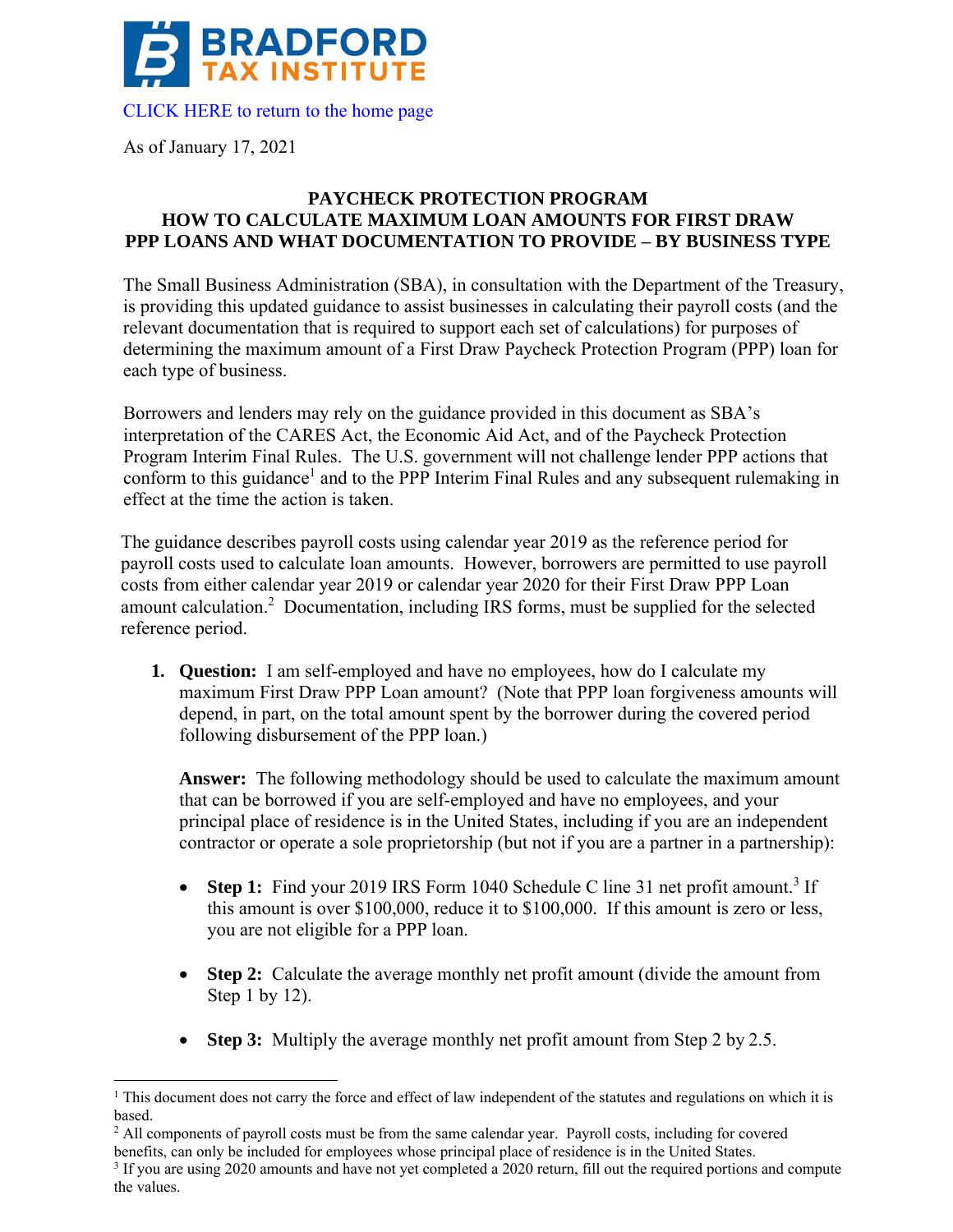

As of January 17, 2021

## **PAYCHECK PROTECTION PROGRAM HOW TO CALCULATE MAXIMUM LOAN AMOUNTS FOR FIRST DRAW PPP LOANS AND WHAT DOCUMENTATION TO PROVIDE – BY BUSINESS TYPE**

The Small Business Administration (SBA), in consultation with the Department of the Treasury, is providing this updated guidance to assist businesses in calculating their payroll costs (and the relevant documentation that is required to support each set of calculations) for purposes of determining the maximum amount of a First Draw Paycheck Protection Program (PPP) loan for each type of business.

Borrowers and lenders may rely on the guidance provided in this document as SBA's interpretation of the CARES Act, the Economic Aid Act, and of the Paycheck Protection Program Interim Final Rules. The U.S. government will not challenge lender PPP actions that conform to this guidance<sup>1</sup> and to the PPP Interim Final Rules and any subsequent rulemaking in effect at the time the action is taken.

The guidance describes payroll costs using calendar year 2019 as the reference period for payroll costs used to calculate loan amounts. However, borrowers are permitted to use payroll costs from either calendar year 2019 or calendar year 2020 for their First Draw PPP Loan amount calculation.2 Documentation, including IRS forms, must be supplied for the selected reference period.

**1. Question:** I am self-employed and have no employees, how do I calculate my maximum First Draw PPP Loan amount? (Note that PPP loan forgiveness amounts will depend, in part, on the total amount spent by the borrower during the covered period following disbursement of the PPP loan.)

 principal place of residence is in the United States, including if you are an independent **Answer:** The following methodology should be used to calculate the maximum amount that can be borrowed if you are self-employed and have no employees, and your contractor or operate a sole proprietorship (but not if you are a partner in a partnership):

- this amount is over \$100,000, reduce it to \$100,000. If this amount is zero or less, • **Step 1:** Find your 2019 IRS Form 1040 Schedule C line 31 net profit amount.<sup>3</sup> If you are not eligible for a PPP loan.
- **Step 2:** Calculate the average monthly net profit amount (divide the amount from Step 1 by 12).
- **Step 3:** Multiply the average monthly net profit amount from Step 2 by 2.5.

 $1$  This document does not carry the force and effect of law independent of the statutes and regulations on which it is based.

<sup>&</sup>lt;sup>2</sup> All components of payroll costs must be from the same calendar year. Payroll costs, including for covered benefits, can only be included for employees whose principal place of residence is in the United States.

<sup>&</sup>lt;sup>3</sup> If you are using 2020 amounts and have not yet completed a 2020 return, fill out the required portions and compute the values.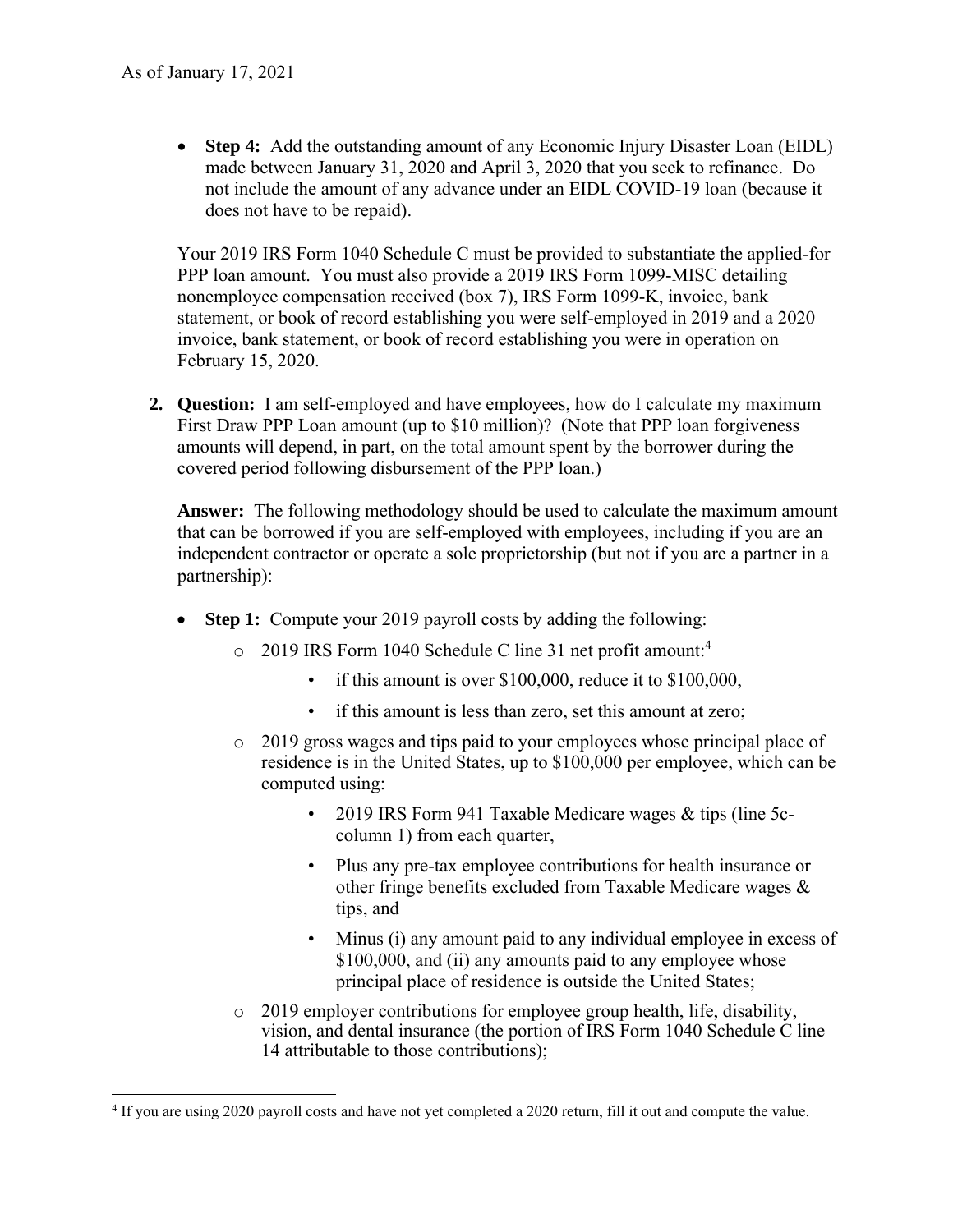• **Step 4:** Add the outstanding amount of any Economic Injury Disaster Loan (EIDL) made between January 31, 2020 and April 3, 2020 that you seek to refinance. Do not include the amount of any advance under an EIDL COVID-19 loan (because it does not have to be repaid).

Your 2019 IRS Form 1040 Schedule C must be provided to substantiate the applied-for PPP loan amount. You must also provide a 2019 IRS Form 1099-MISC detailing nonemployee compensation received (box 7), IRS Form 1099-K, invoice, bank statement, or book of record establishing you were self-employed in 2019 and a 2020 invoice, bank statement, or book of record establishing you were in operation on February 15, 2020.

**2. Question:** I am self-employed and have employees, how do I calculate my maximum First Draw PPP Loan amount (up to \$10 million)? (Note that PPP loan forgiveness amounts will depend, in part, on the total amount spent by the borrower during the covered period following disbursement of the PPP loan.)

**Answer:** The following methodology should be used to calculate the maximum amount that can be borrowed if you are self-employed with employees, including if you are an independent contractor or operate a sole proprietorship (but not if you are a partner in a partnership):

- **Step 1:** Compute your 2019 payroll costs by adding the following:
	- o 2019 IRS Form 1040 Schedule C line 31 net profit amount: 4
		- if this amount is over \$100,000, reduce it to \$100,000,
		- if this amount is less than zero, set this amount at zero;
	- o 2019 gross wages and tips paid to your employees whose principal place of residence is in the United States, up to \$100,000 per employee, which can be computed using:
		- 2019 IRS Form 941 Taxable Medicare wages & tips (line 5ccolumn 1) from each quarter,
		- Plus any pre-tax employee contributions for health insurance or other fringe benefits excluded from Taxable Medicare wages & tips, and
		- Minus (i) any amount paid to any individual employee in excess of \$100,000, and (ii) any amounts paid to any employee whose principal place of residence is outside the United States;
	- o 2019 employer contributions for employee group health, life, disability, vision, and dental insurance (the portion of IRS Form 1040 Schedule C line 14 attributable to those contributions);

<sup>4</sup> If you are using 2020 payroll costs and have not yet completed a 2020 return, fill it out and compute the value.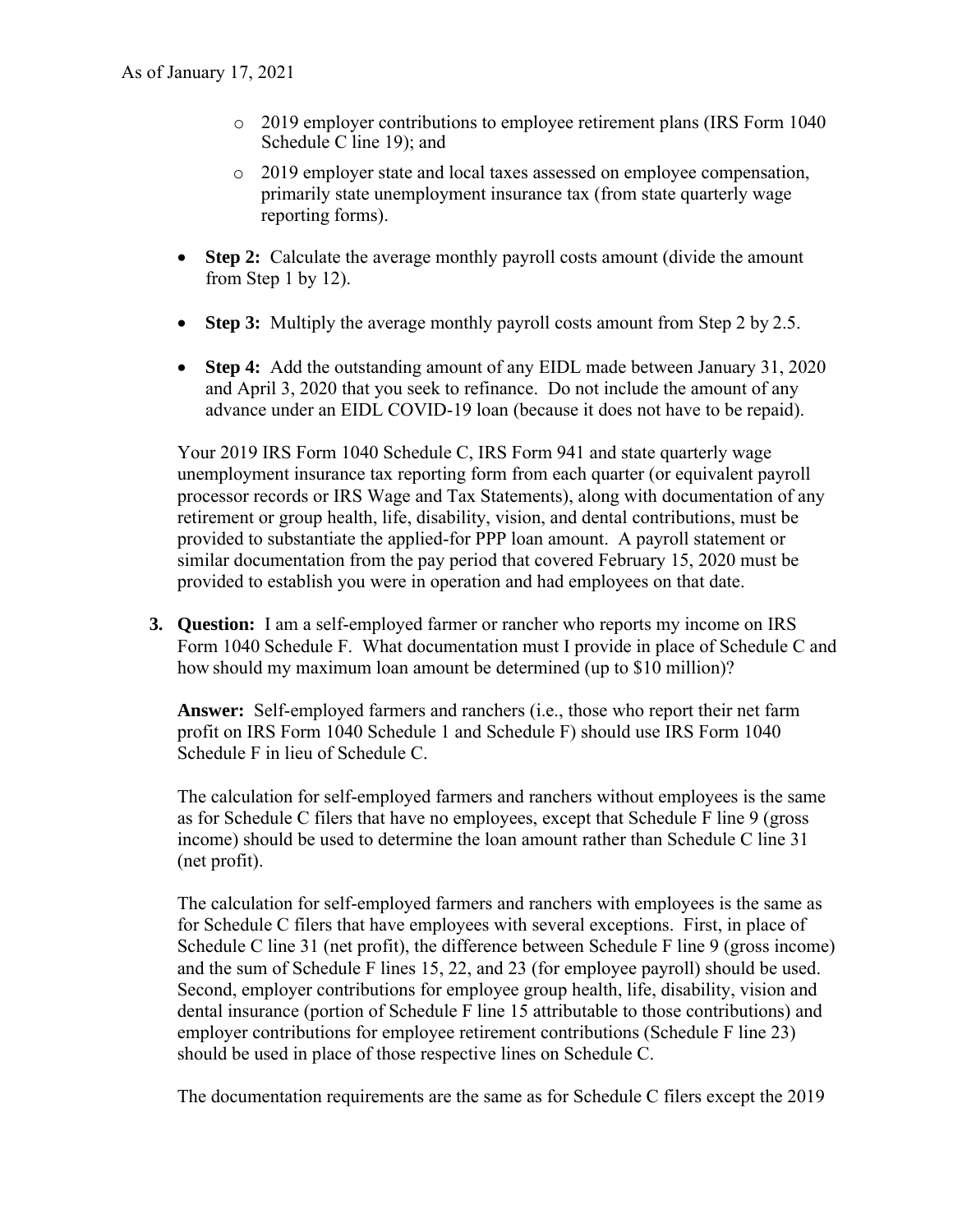- o 2019 employer contributions to employee retirement plans (IRS Form 1040 Schedule C line 19); and
- o 2019 employer state and local taxes assessed on employee compensation, primarily state unemployment insurance tax (from state quarterly wage reporting forms).
- **Step 2:** Calculate the average monthly payroll costs amount (divide the amount from Step 1 by 12).
- **Step 3:** Multiply the average monthly payroll costs amount from Step 2 by 2.5.
- **Step 4:** Add the outstanding amount of any EIDL made between January 31, 2020 and April 3, 2020 that you seek to refinance. Do not include the amount of any advance under an EIDL COVID-19 loan (because it does not have to be repaid).

Your 2019 IRS Form 1040 Schedule C, IRS Form 941 and state quarterly wage unemployment insurance tax reporting form from each quarter (or equivalent payroll processor records or IRS Wage and Tax Statements), along with documentation of any retirement or group health, life, disability, vision, and dental contributions, must be provided to substantiate the applied-for PPP loan amount. A payroll statement or similar documentation from the pay period that covered February 15, 2020 must be provided to establish you were in operation and had employees on that date.

**3. Question:** I am a self-employed farmer or rancher who reports my income on IRS Form 1040 Schedule F. What documentation must I provide in place of Schedule C and how should my maximum loan amount be determined (up to \$10 million)?

**Answer:** Self-employed farmers and ranchers (i.e., those who report their net farm profit on IRS Form 1040 Schedule 1 and Schedule F) should use IRS Form 1040 Schedule F in lieu of Schedule C.

The calculation for self-employed farmers and ranchers without employees is the same as for Schedule C filers that have no employees, except that Schedule F line 9 (gross income) should be used to determine the loan amount rather than Schedule C line 31 (net profit).

The calculation for self-employed farmers and ranchers with employees is the same as for Schedule C filers that have employees with several exceptions. First, in place of Schedule C line 31 (net profit), the difference between Schedule F line 9 (gross income) and the sum of Schedule F lines 15, 22, and 23 (for employee payroll) should be used. Second, employer contributions for employee group health, life, disability, vision and dental insurance (portion of Schedule F line 15 attributable to those contributions) and employer contributions for employee retirement contributions (Schedule F line 23) should be used in place of those respective lines on Schedule C.

The documentation requirements are the same as for Schedule C filers except the 2019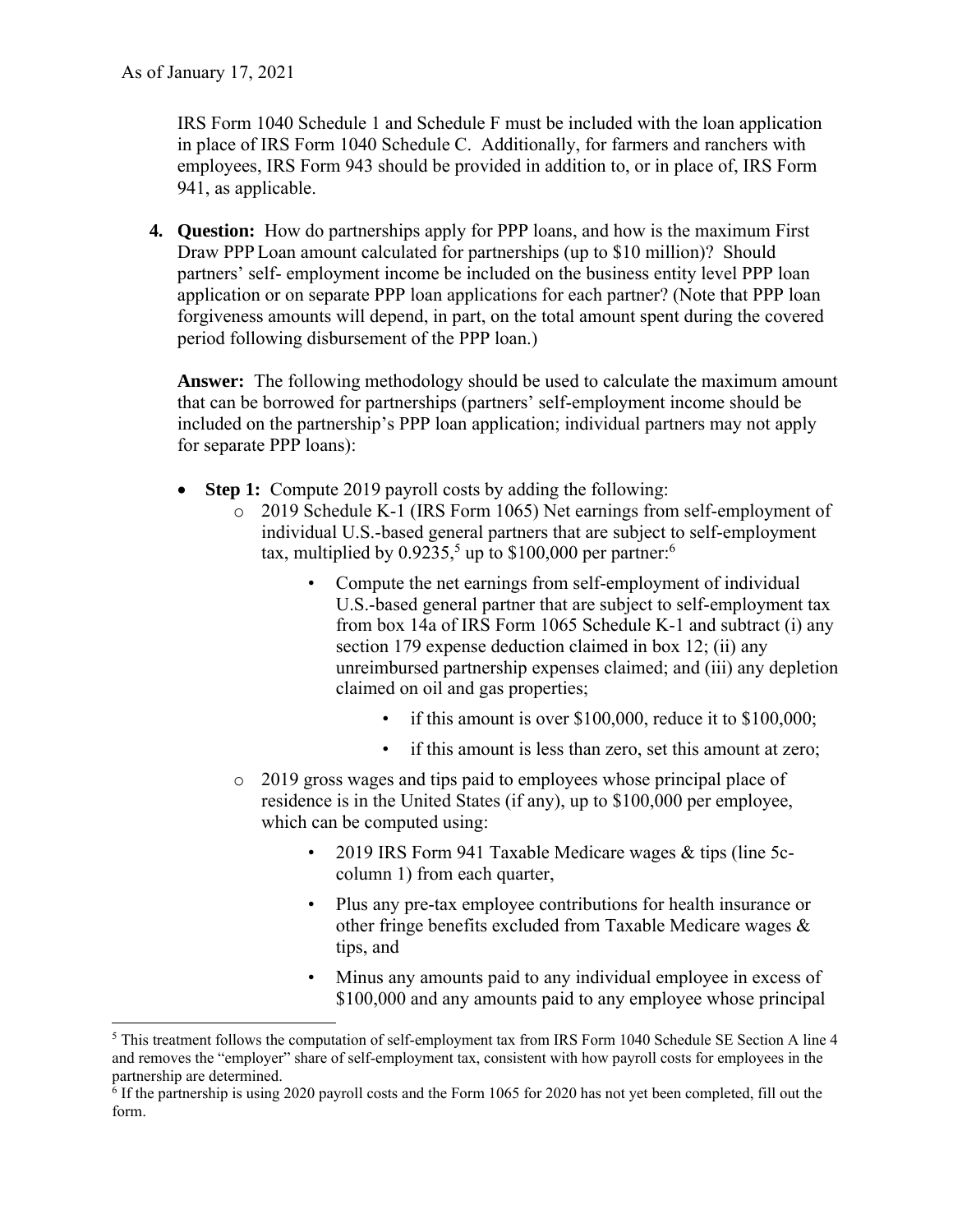IRS Form 1040 Schedule 1 and Schedule F must be included with the loan application in place of IRS Form 1040 Schedule C. Additionally, for farmers and ranchers with employees, IRS Form 943 should be provided in addition to, or in place of, IRS Form 941, as applicable.

**4. Question:** How do partnerships apply for PPP loans, and how is the maximum First Draw PPP Loan amount calculated for partnerships (up to \$10 million)? Should partners' self- employment income be included on the business entity level PPP loan application or on separate PPP loan applications for each partner? (Note that PPP loan forgiveness amounts will depend, in part, on the total amount spent during the covered period following disbursement of the PPP loan.)

**Answer:** The following methodology should be used to calculate the maximum amount that can be borrowed for partnerships (partners' self-employment income should be included on the partnership's PPP loan application; individual partners may not apply for separate PPP loans):

- **Step 1:** Compute 2019 payroll costs by adding the following:
	- o 2019 Schedule K-1 (IRS Form 1065) Net earnings from self-employment of individual U.S.-based general partners that are subject to self-employment tax, multiplied by  $0.9235$ ,<sup>5</sup> up to \$100,000 per partner:<sup>6</sup>
		- Compute the net earnings from self-employment of individual U.S.-based general partner that are subject to self-employment tax from box 14a of IRS Form 1065 Schedule K-1 and subtract (i) any section 179 expense deduction claimed in box 12; (ii) any unreimbursed partnership expenses claimed; and (iii) any depletion claimed on oil and gas properties;
			- if this amount is over \$100,000, reduce it to \$100,000;
			- if this amount is less than zero, set this amount at zero;
	- o 2019 gross wages and tips paid to employees whose principal place of residence is in the United States (if any), up to \$100,000 per employee, which can be computed using:
		- 2019 IRS Form 941 Taxable Medicare wages & tips (line 5ccolumn 1) from each quarter,
		- Plus any pre-tax employee contributions for health insurance or other fringe benefits excluded from Taxable Medicare wages & tips, and
		- Minus any amounts paid to any individual employee in excess of \$100,000 and any amounts paid to any employee whose principal

<sup>&</sup>lt;sup>5</sup> This treatment follows the computation of self-employment tax from IRS Form 1040 Schedule SE Section A line 4 and removes the "employer" share of self-employment tax, consistent with how payroll costs for employees in the

partnership are determined.<br><sup>6</sup> If the partnership is using 2020 payroll costs and the Form 1065 for 2020 has not yet been completed, fill out the form.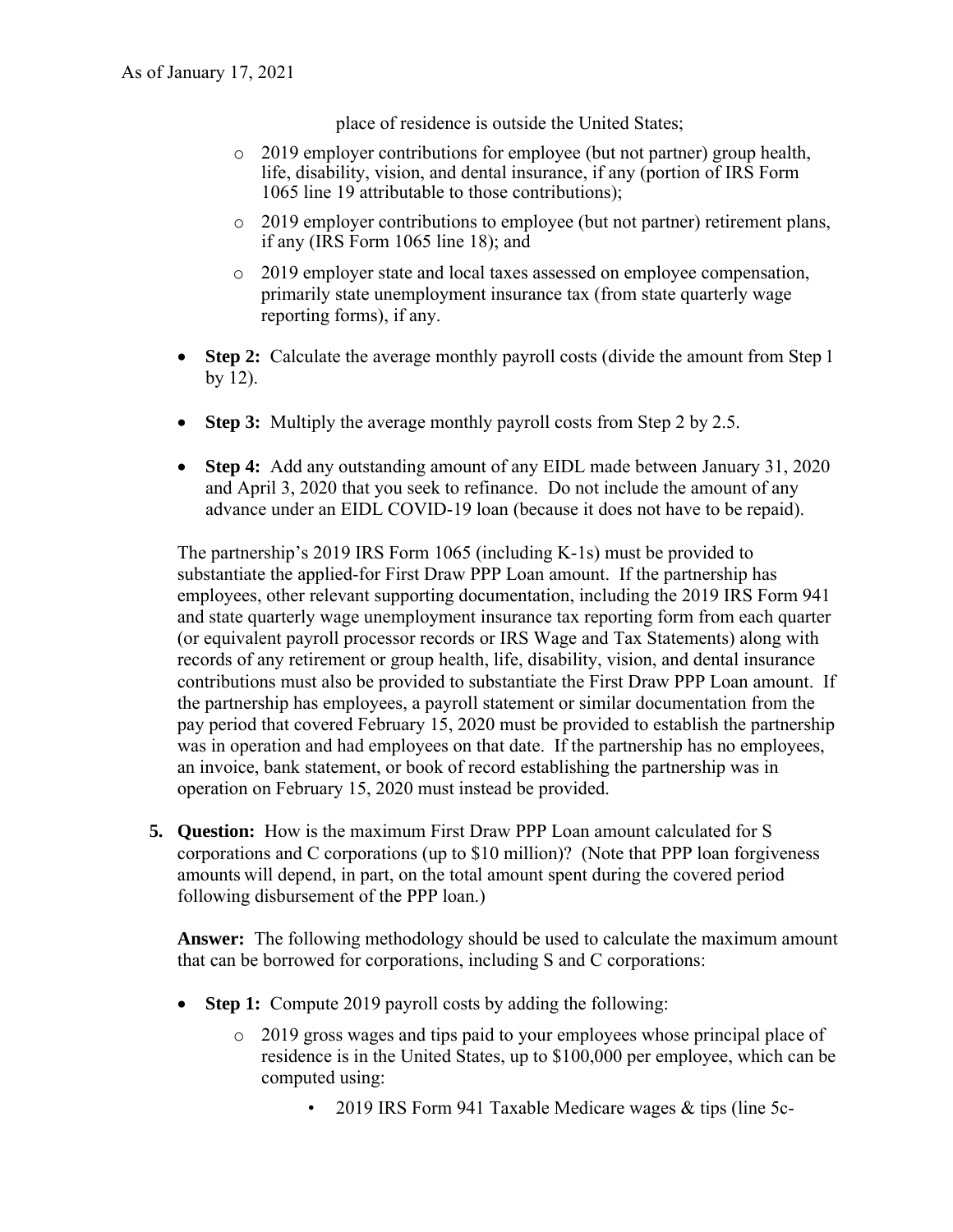place of residence is outside the United States;

- o 2019 employer contributions for employee (but not partner) group health, life, disability, vision, and dental insurance, if any (portion of IRS Form 1065 line 19 attributable to those contributions);
- o 2019 employer contributions to employee (but not partner) retirement plans, if any (IRS Form 1065 line 18); and
- o 2019 employer state and local taxes assessed on employee compensation, primarily state unemployment insurance tax (from state quarterly wage reporting forms), if any.
- **Step 2:** Calculate the average monthly payroll costs (divide the amount from Step 1 by 12).
- **Step 3:** Multiply the average monthly payroll costs from Step 2 by 2.5.
- **Step 4:** Add any outstanding amount of any EIDL made between January 31, 2020 and April 3, 2020 that you seek to refinance. Do not include the amount of any advance under an EIDL COVID-19 loan (because it does not have to be repaid).

 contributions must also be provided to substantiate the First Draw PPP Loan amount. If The partnership's 2019 IRS Form 1065 (including K-1s) must be provided to substantiate the applied-for First Draw PPP Loan amount. If the partnership has employees, other relevant supporting documentation, including the 2019 IRS Form 941 and state quarterly wage unemployment insurance tax reporting form from each quarter (or equivalent payroll processor records or IRS Wage and Tax Statements) along with records of any retirement or group health, life, disability, vision, and dental insurance the partnership has employees, a payroll statement or similar documentation from the pay period that covered February 15, 2020 must be provided to establish the partnership was in operation and had employees on that date. If the partnership has no employees, an invoice, bank statement, or book of record establishing the partnership was in operation on February 15, 2020 must instead be provided.

**5. Question:** How is the maximum First Draw PPP Loan amount calculated for S corporations and C corporations (up to \$10 million)? (Note that PPP loan forgiveness amounts will depend, in part, on the total amount spent during the covered period following disbursement of the PPP loan.)

**Answer:** The following methodology should be used to calculate the maximum amount that can be borrowed for corporations, including S and C corporations:

- **Step 1:** Compute 2019 payroll costs by adding the following:
	- $\circ$  2019 gross wages and tips paid to your employees whose principal place of residence is in the United States, up to \$100,000 per employee, which can be computed using:
		- 2019 IRS Form 941 Taxable Medicare wages & tips (line 5c-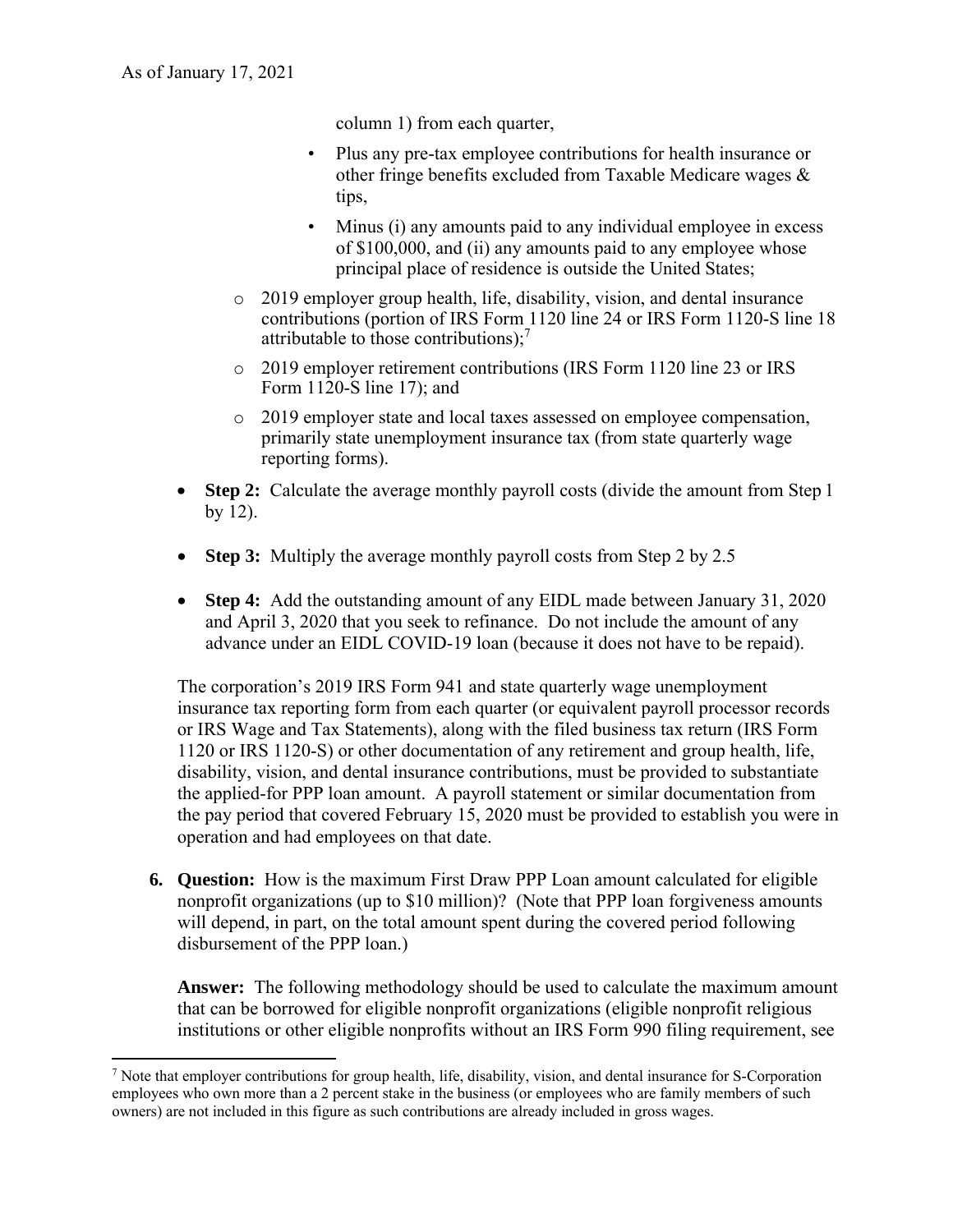column 1) from each quarter,

- Plus any pre-tax employee contributions for health insurance or other fringe benefits excluded from Taxable Medicare wages & tips,
- Minus (i) any amounts paid to any individual employee in excess of \$100,000, and (ii) any amounts paid to any employee whose principal place of residence is outside the United States;
- attributable to those contributions); $^7$ o 2019 employer group health, life, disability, vision, and dental insurance contributions (portion of IRS Form 1120 line 24 or IRS Form 1120-S line 18
- o 2019 employer retirement contributions (IRS Form 1120 line 23 or IRS Form 1120-S line 17); and
- o 2019 employer state and local taxes assessed on employee compensation, primarily state unemployment insurance tax (from state quarterly wage reporting forms).
- **Step 2:** Calculate the average monthly payroll costs (divide the amount from Step 1 by 12).
- **Step 3:** Multiply the average monthly payroll costs from Step 2 by 2.5
- **Step 4:** Add the outstanding amount of any EIDL made between January 31, 2020 and April 3, 2020 that you seek to refinance. Do not include the amount of any advance under an EIDL COVID-19 loan (because it does not have to be repaid).

The corporation's 2019 IRS Form 941 and state quarterly wage unemployment insurance tax reporting form from each quarter (or equivalent payroll processor records or IRS Wage and Tax Statements), along with the filed business tax return (IRS Form 1120 or IRS 1120-S) or other documentation of any retirement and group health, life, disability, vision, and dental insurance contributions, must be provided to substantiate the applied-for PPP loan amount. A payroll statement or similar documentation from the pay period that covered February 15, 2020 must be provided to establish you were in operation and had employees on that date.

**6. Question:** How is the maximum First Draw PPP Loan amount calculated for eligible nonprofit organizations (up to \$10 million)? (Note that PPP loan forgiveness amounts will depend, in part, on the total amount spent during the covered period following disbursement of the PPP loan.)

**Answer:** The following methodology should be used to calculate the maximum amount that can be borrowed for eligible nonprofit organizations (eligible nonprofit religious institutions or other eligible nonprofits without an IRS Form 990 filing requirement, see

<sup>7</sup> Note that employer contributions for group health, life, disability, vision, and dental insurance for S-Corporation employees who own more than a 2 percent stake in the business (or employees who are family members of such owners) are not included in this figure as such contributions are already included in gross wages.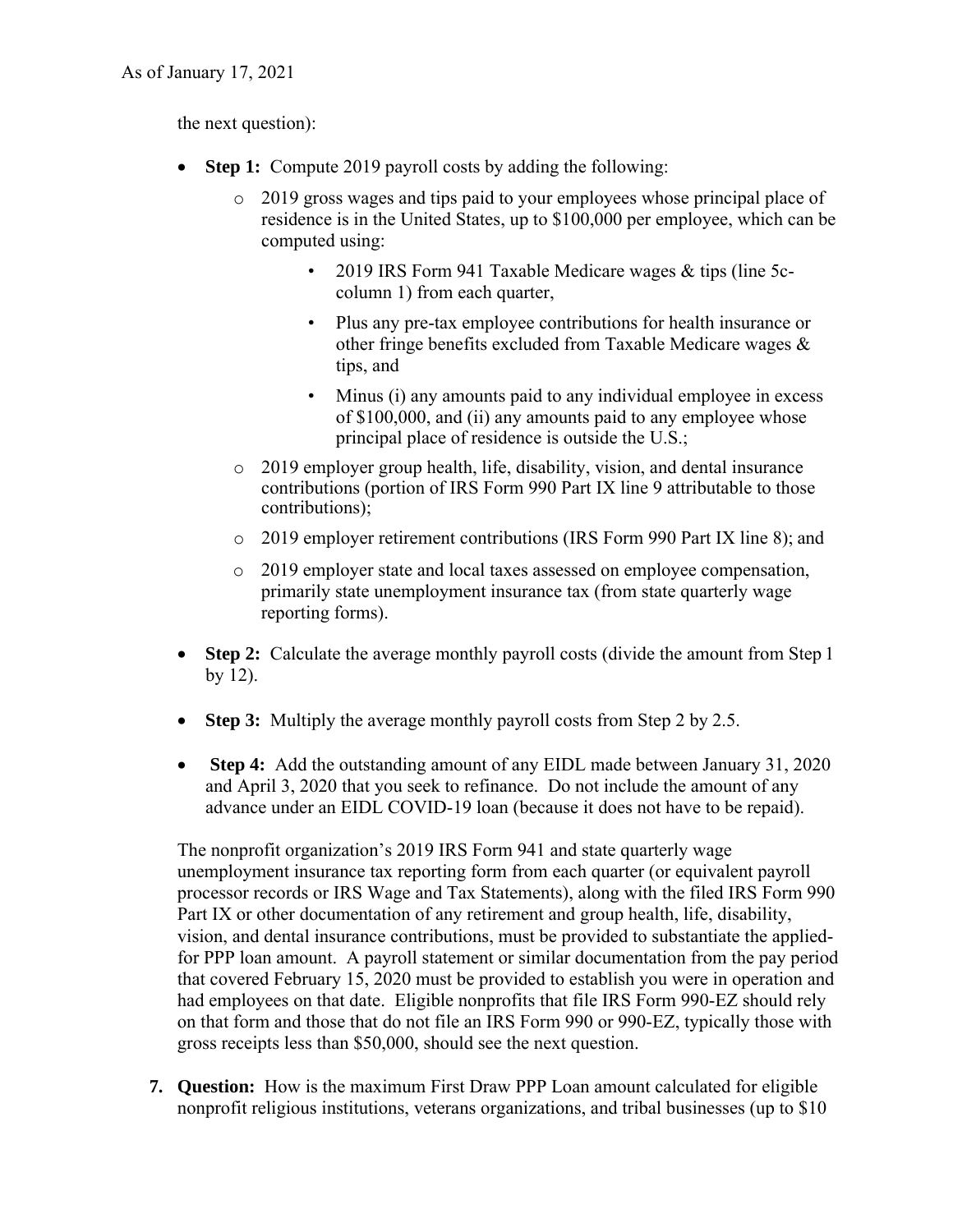the next question):

- **Step 1:** Compute 2019 payroll costs by adding the following:
	- o 2019 gross wages and tips paid to your employees whose principal place of residence is in the United States, up to \$100,000 per employee, which can be computed using:
		- 2019 IRS Form 941 Taxable Medicare wages & tips (line 5ccolumn 1) from each quarter,
		- Plus any pre-tax employee contributions for health insurance or other fringe benefits excluded from Taxable Medicare wages & tips, and
		- Minus (i) any amounts paid to any individual employee in excess of \$100,000, and (ii) any amounts paid to any employee whose principal place of residence is outside the U.S.;
	- o 2019 employer group health, life, disability, vision, and dental insurance contributions (portion of IRS Form 990 Part IX line 9 attributable to those contributions);
	- o 2019 employer retirement contributions (IRS Form 990 Part IX line 8); and
	- o 2019 employer state and local taxes assessed on employee compensation, primarily state unemployment insurance tax (from state quarterly wage reporting forms).
- **Step 2:** Calculate the average monthly payroll costs (divide the amount from Step 1 by 12).
- **Step 3:** Multiply the average monthly payroll costs from Step 2 by 2.5.
- **Step 4:** Add the outstanding amount of any EIDL made between January 31, 2020 and April 3, 2020 that you seek to refinance. Do not include the amount of any advance under an EIDL COVID-19 loan (because it does not have to be repaid).

The nonprofit organization's 2019 IRS Form 941 and state quarterly wage unemployment insurance tax reporting form from each quarter (or equivalent payroll processor records or IRS Wage and Tax Statements), along with the filed IRS Form 990 Part IX or other documentation of any retirement and group health, life, disability, vision, and dental insurance contributions, must be provided to substantiate the appliedfor PPP loan amount. A payroll statement or similar documentation from the pay period that covered February 15, 2020 must be provided to establish you were in operation and had employees on that date. Eligible nonprofits that file IRS Form 990-EZ should rely on that form and those that do not file an IRS Form 990 or 990-EZ, typically those with gross receipts less than \$50,000, should see the next question.

**7. Question:** How is the maximum First Draw PPP Loan amount calculated for eligible nonprofit religious institutions, veterans organizations, and tribal businesses (up to \$10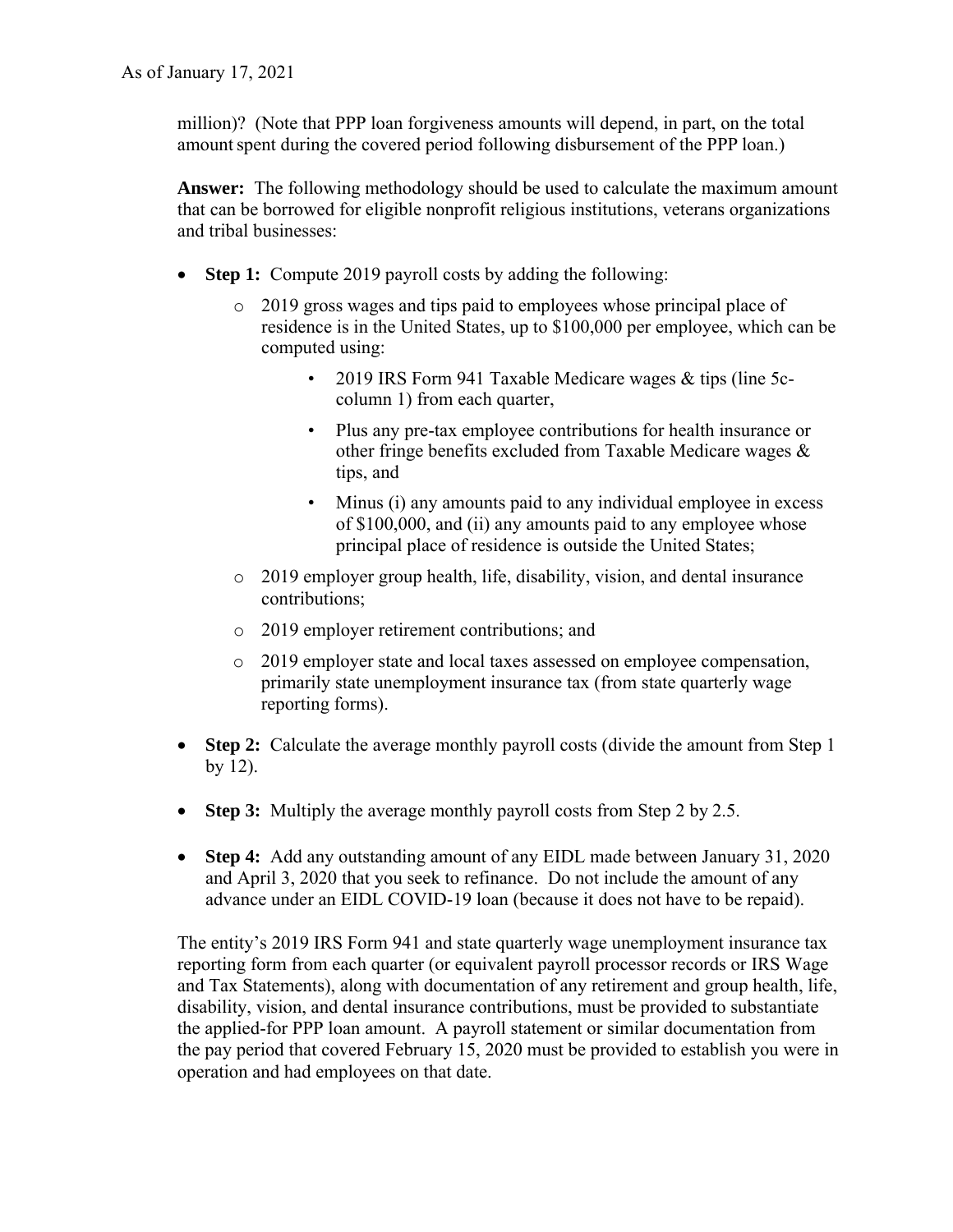million)? (Note that PPP loan forgiveness amounts will depend, in part, on the total amount spent during the covered period following disbursement of the PPP loan.)

**Answer:** The following methodology should be used to calculate the maximum amount that can be borrowed for eligible nonprofit religious institutions, veterans organizations and tribal businesses:

- **Step 1:** Compute 2019 payroll costs by adding the following:
	- o 2019 gross wages and tips paid to employees whose principal place of residence is in the United States, up to \$100,000 per employee, which can be computed using:
		- 2019 IRS Form 941 Taxable Medicare wages & tips (line 5ccolumn 1) from each quarter,
		- Plus any pre-tax employee contributions for health insurance or other fringe benefits excluded from Taxable Medicare wages & tips, and
		- Minus (i) any amounts paid to any individual employee in excess of \$100,000, and (ii) any amounts paid to any employee whose principal place of residence is outside the United States;
	- o 2019 employer group health, life, disability, vision, and dental insurance contributions;
	- o 2019 employer retirement contributions; and
	- o 2019 employer state and local taxes assessed on employee compensation, primarily state unemployment insurance tax (from state quarterly wage reporting forms).
- **Step 2:** Calculate the average monthly payroll costs (divide the amount from Step 1) by 12).
- **Step 3:** Multiply the average monthly payroll costs from Step 2 by 2.5.
- **Step 4:** Add any outstanding amount of any EIDL made between January 31, 2020 and April 3, 2020 that you seek to refinance. Do not include the amount of any advance under an EIDL COVID-19 loan (because it does not have to be repaid).

The entity's 2019 IRS Form 941 and state quarterly wage unemployment insurance tax reporting form from each quarter (or equivalent payroll processor records or IRS Wage and Tax Statements), along with documentation of any retirement and group health, life, disability, vision, and dental insurance contributions, must be provided to substantiate the applied-for PPP loan amount. A payroll statement or similar documentation from the pay period that covered February 15, 2020 must be provided to establish you were in operation and had employees on that date.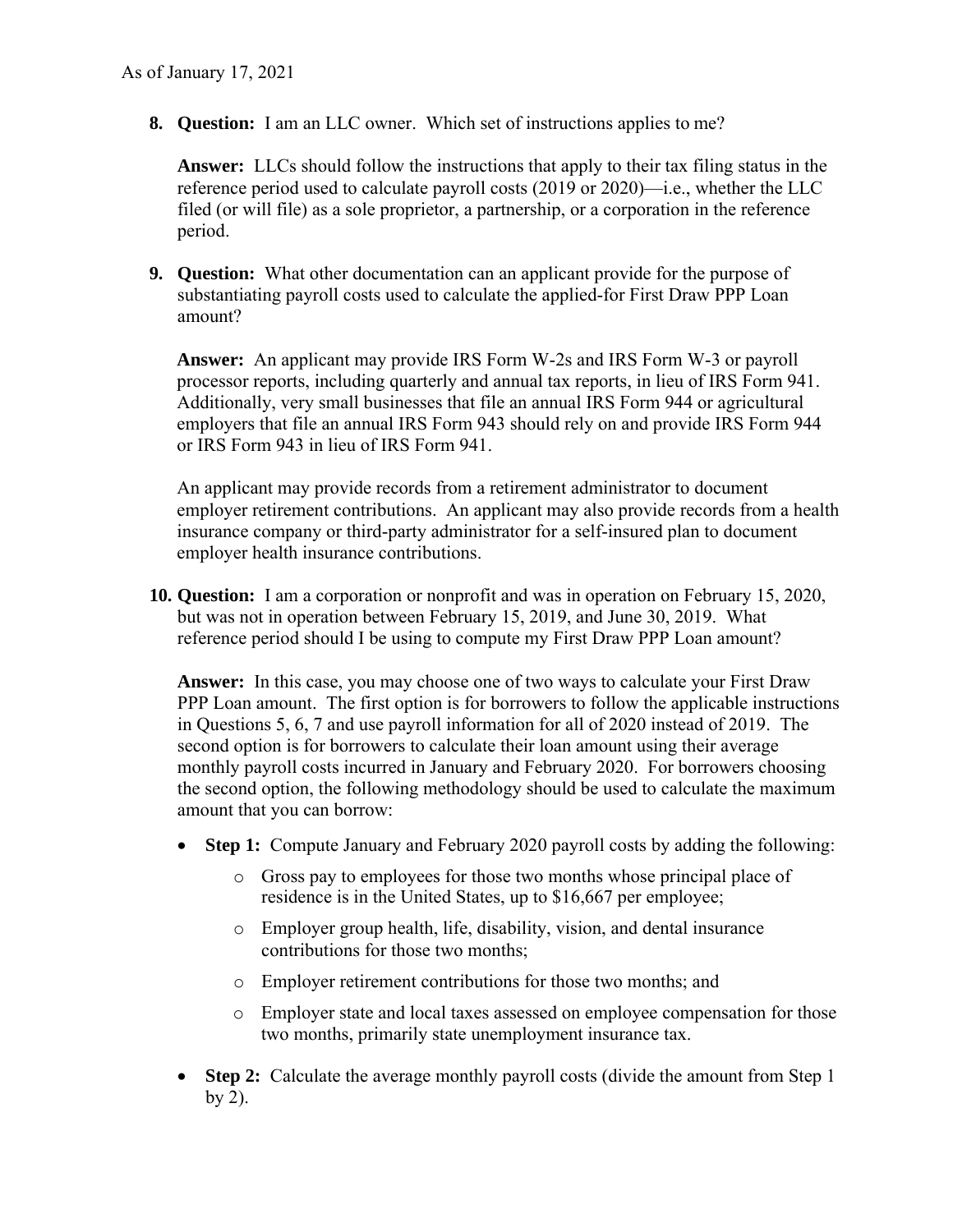**8. Question:** I am an LLC owner. Which set of instructions applies to me?

**Answer:** LLCs should follow the instructions that apply to their tax filing status in the reference period used to calculate payroll costs (2019 or 2020)—i.e., whether the LLC filed (or will file) as a sole proprietor, a partnership, or a corporation in the reference period.

**9. Question:** What other documentation can an applicant provide for the purpose of substantiating payroll costs used to calculate the applied-for First Draw PPP Loan amount?

**Answer:** An applicant may provide IRS Form W-2s and IRS Form W-3 or payroll processor reports, including quarterly and annual tax reports, in lieu of IRS Form 941. Additionally, very small businesses that file an annual IRS Form 944 or agricultural employers that file an annual IRS Form 943 should rely on and provide IRS Form 944 or IRS Form 943 in lieu of IRS Form 941.

 An applicant may provide records from a retirement administrator to document employer retirement contributions. An applicant may also provide records from a health insurance company or third-party administrator for a self-insured plan to document employer health insurance contributions.

 **10. Question:** I am a corporation or nonprofit and was in operation on February 15, 2020, but was not in operation between February 15, 2019, and June 30, 2019. What reference period should I be using to compute my First Draw PPP Loan amount?

 amount that you can borrow: **Answer:** In this case, you may choose one of two ways to calculate your First Draw PPP Loan amount. The first option is for borrowers to follow the applicable instructions in Questions 5, 6, 7 and use payroll information for all of 2020 instead of 2019. The second option is for borrowers to calculate their loan amount using their average monthly payroll costs incurred in January and February 2020. For borrowers choosing the second option, the following methodology should be used to calculate the maximum

- **Step 1:** Compute January and February 2020 payroll costs by adding the following:
	- o Gross pay to employees for those two months whose principal place of residence is in the United States, up to \$16,667 per employee;
	- o Employer group health, life, disability, vision, and dental insurance contributions for those two months;
	- o Employer retirement contributions for those two months; and
	- o Employer state and local taxes assessed on employee compensation for those two months, primarily state unemployment insurance tax.
- **Step 2:** Calculate the average monthly payroll costs (divide the amount from Step 1 by  $2$ ).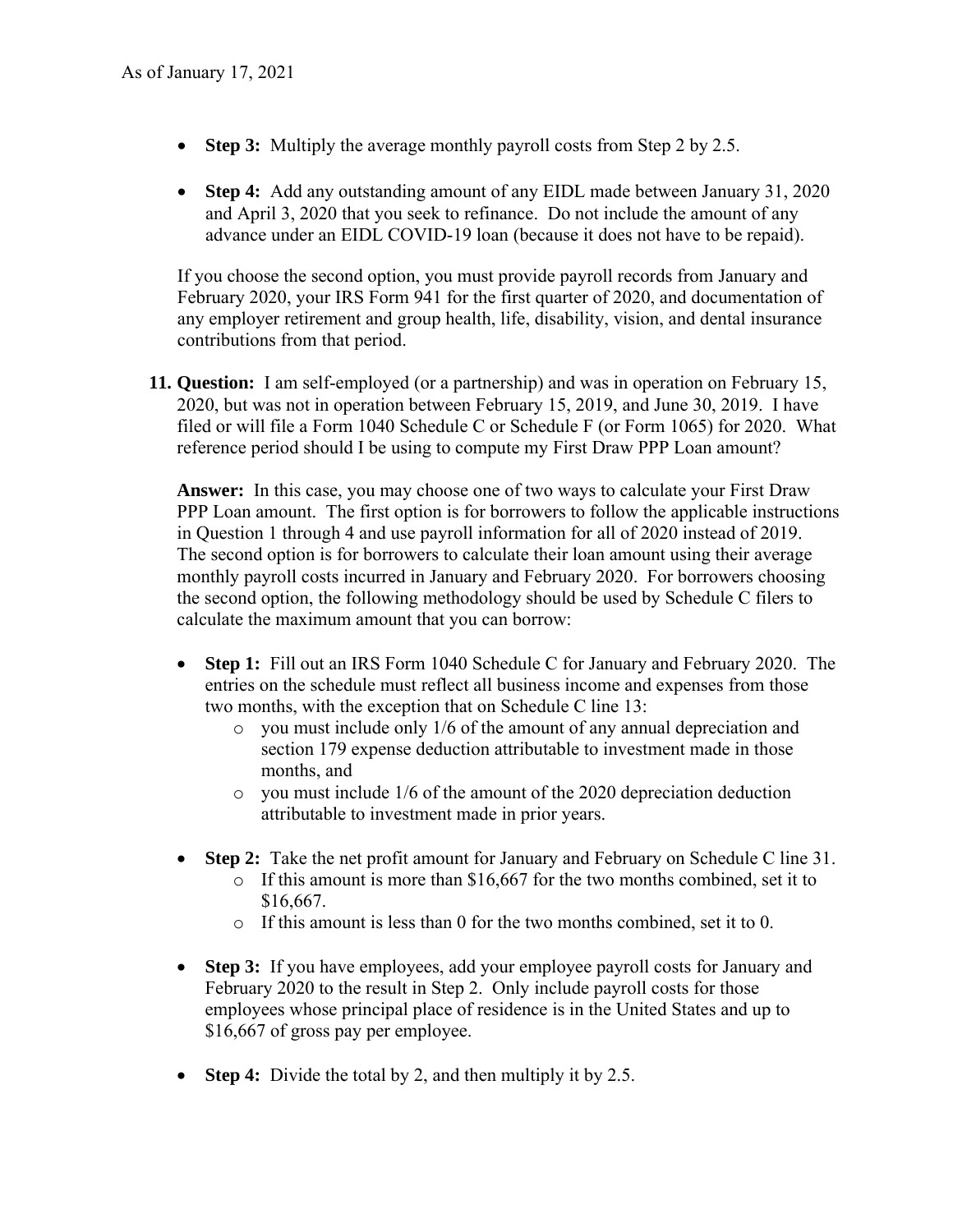- **Step 3:** Multiply the average monthly payroll costs from Step 2 by 2.5.
- **Step 4:** Add any outstanding amount of any EIDL made between January 31, 2020 and April 3, 2020 that you seek to refinance. Do not include the amount of any advance under an EIDL COVID-19 loan (because it does not have to be repaid).

If you choose the second option, you must provide payroll records from January and February 2020, your IRS Form 941 for the first quarter of 2020, and documentation of any employer retirement and group health, life, disability, vision, and dental insurance contributions from that period.

 **11. Question:** I am self-employed (or a partnership) and was in operation on February 15, 2020, but was not in operation between February 15, 2019, and June 30, 2019. I have filed or will file a Form 1040 Schedule C or Schedule F (or Form 1065) for 2020. What reference period should I be using to compute my First Draw PPP Loan amount?

 **Answer:** In this case, you may choose one of two ways to calculate your First Draw PPP Loan amount. The first option is for borrowers to follow the applicable instructions in Question 1 through 4 and use payroll information for all of 2020 instead of 2019. The second option is for borrowers to calculate their loan amount using their average monthly payroll costs incurred in January and February 2020. For borrowers choosing the second option, the following methodology should be used by Schedule C filers to calculate the maximum amount that you can borrow:

- • **Step 1:** Fill out an IRS Form 1040 Schedule C for January and February 2020. The entries on the schedule must reflect all business income and expenses from those two months, with the exception that on Schedule C line 13:
	- o you must include only 1/6 of the amount of any annual depreciation and section 179 expense deduction attributable to investment made in those months, and
	- o you must include 1/6 of the amount of the 2020 depreciation deduction attributable to investment made in prior years.
- **Step 2:** Take the net profit amount for January and February on Schedule C line 31.
	- o If this amount is more than \$16,667 for the two months combined, set it to \$16,667.
	- o If this amount is less than 0 for the two months combined, set it to 0.
- **Step 3:** If you have employees, add your employee payroll costs for January and February 2020 to the result in Step 2. Only include payroll costs for those employees whose principal place of residence is in the United States and up to \$16,667 of gross pay per employee.
- **Step 4:** Divide the total by 2, and then multiply it by 2.5.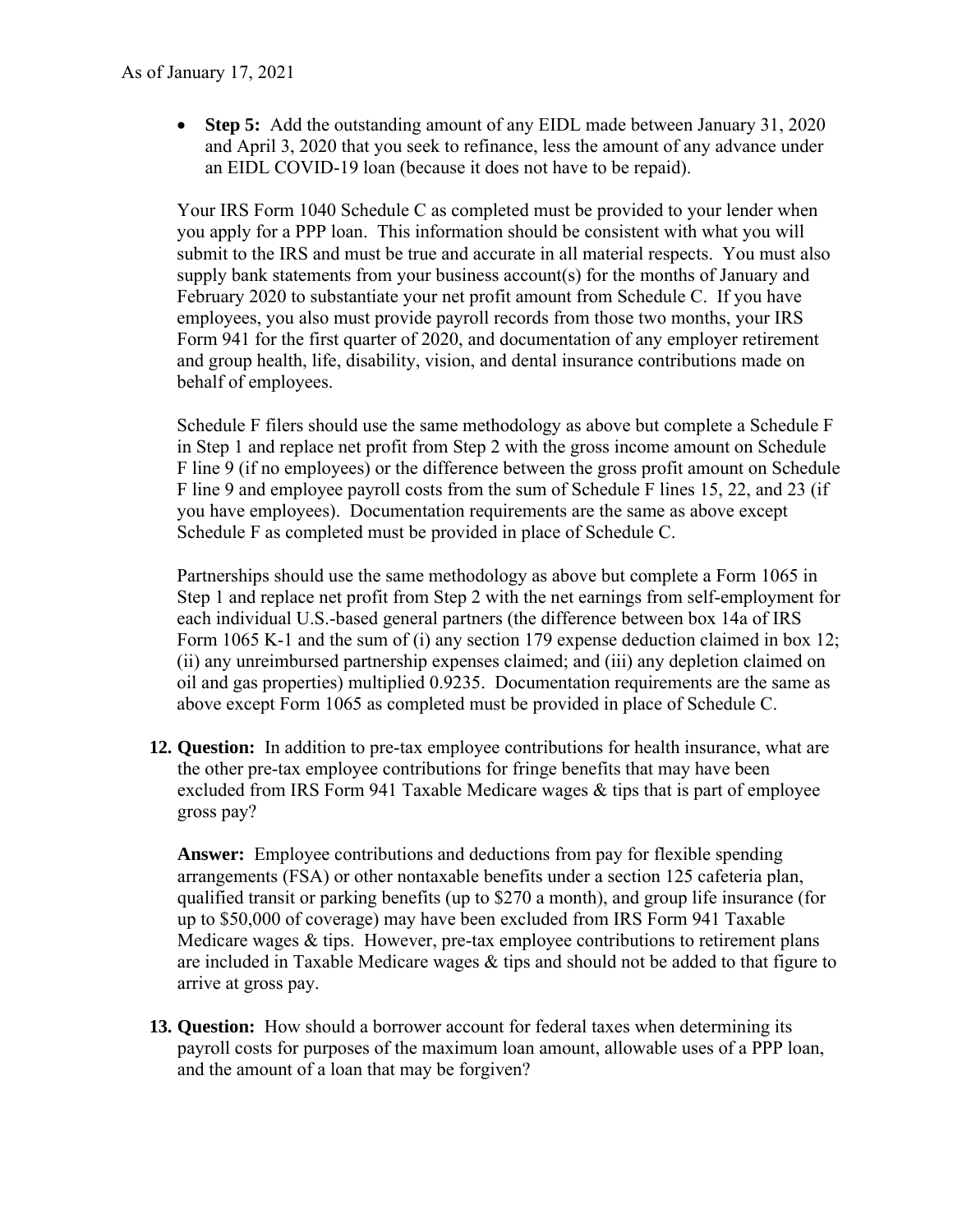• **Step 5:** Add the outstanding amount of any EIDL made between January 31, 2020 and April 3, 2020 that you seek to refinance, less the amount of any advance under an EIDL COVID-19 loan (because it does not have to be repaid).

 supply bank statements from your business account(s) for the months of January and Your IRS Form 1040 Schedule C as completed must be provided to your lender when you apply for a PPP loan. This information should be consistent with what you will submit to the IRS and must be true and accurate in all material respects. You must also February 2020 to substantiate your net profit amount from Schedule C. If you have employees, you also must provide payroll records from those two months, your IRS Form 941 for the first quarter of 2020, and documentation of any employer retirement and group health, life, disability, vision, and dental insurance contributions made on behalf of employees.

Schedule F filers should use the same methodology as above but complete a Schedule F in Step 1 and replace net profit from Step 2 with the gross income amount on Schedule F line 9 (if no employees) or the difference between the gross profit amount on Schedule F line 9 and employee payroll costs from the sum of Schedule F lines 15, 22, and 23 (if you have employees). Documentation requirements are the same as above except Schedule F as completed must be provided in place of Schedule C.

 Partnerships should use the same methodology as above but complete a Form 1065 in Step 1 and replace net profit from Step 2 with the net earnings from self-employment for each individual U.S.-based general partners (the difference between box 14a of IRS Form 1065 K-1 and the sum of (i) any section 179 expense deduction claimed in box 12; (ii) any unreimbursed partnership expenses claimed; and (iii) any depletion claimed on oil and gas properties) multiplied 0.9235. Documentation requirements are the same as above except Form 1065 as completed must be provided in place of Schedule C.

**12. Question:** In addition to pre-tax employee contributions for health insurance, what are the other pre-tax employee contributions for fringe benefits that may have been excluded from IRS Form 941 Taxable Medicare wages & tips that is part of employee gross pay?

 **Answer:** Employee contributions and deductions from pay for flexible spending arrangements (FSA) or other nontaxable benefits under a section 125 cafeteria plan, qualified transit or parking benefits (up to \$270 a month), and group life insurance (for up to \$50,000 of coverage) may have been excluded from IRS Form 941 Taxable Medicare wages & tips. However, pre-tax employee contributions to retirement plans are included in Taxable Medicare wages & tips and should not be added to that figure to arrive at gross pay.

**13. Question:** How should a borrower account for federal taxes when determining its payroll costs for purposes of the maximum loan amount, allowable uses of a PPP loan, and the amount of a loan that may be forgiven?